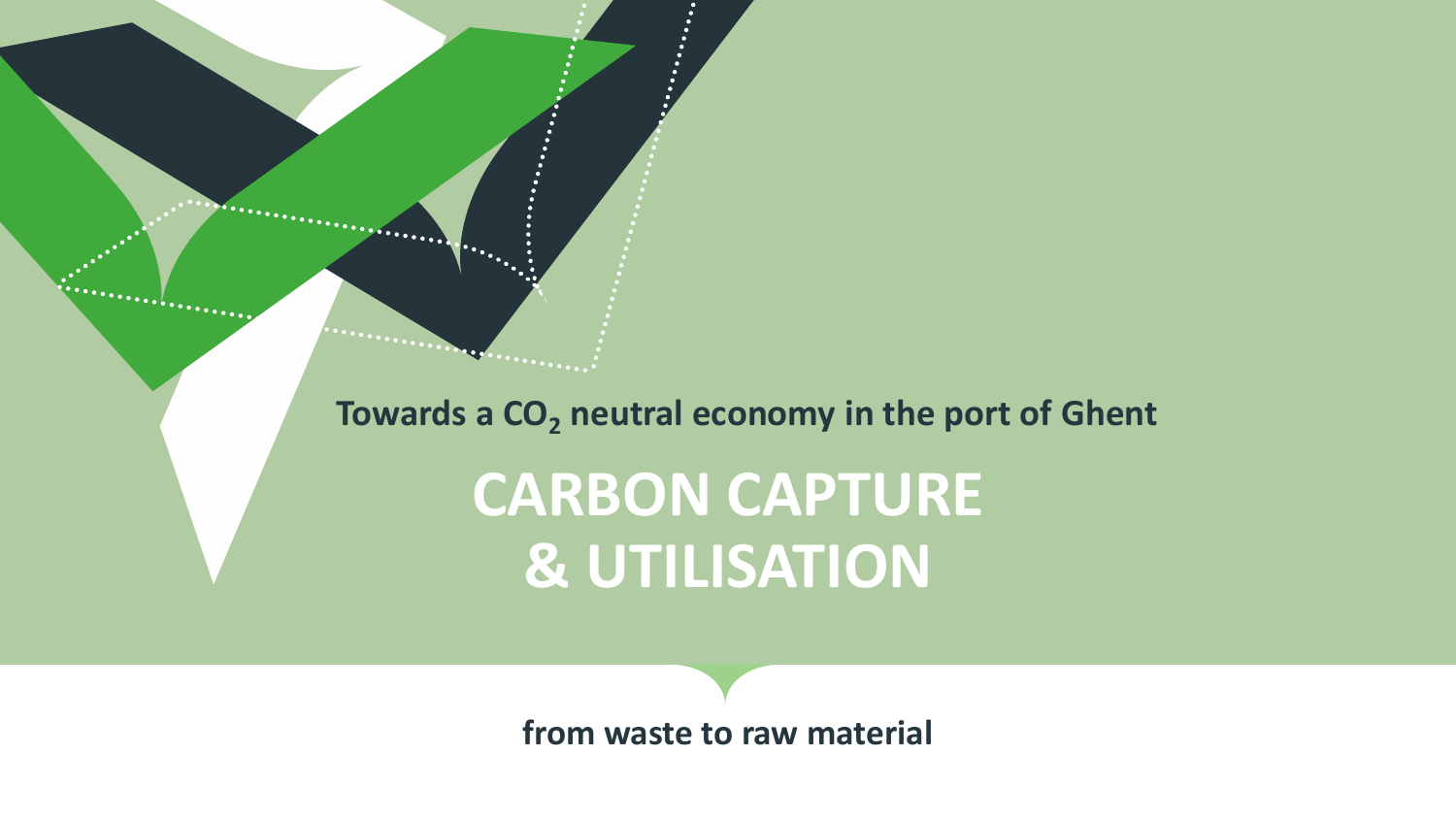**Towards a CO<sup>2</sup> neutral economy in the port of Ghent**

. . <u>.</u> . . . . . . . . . .

**CARBON CAPTURE & UTILISATION**

**from waste to raw material**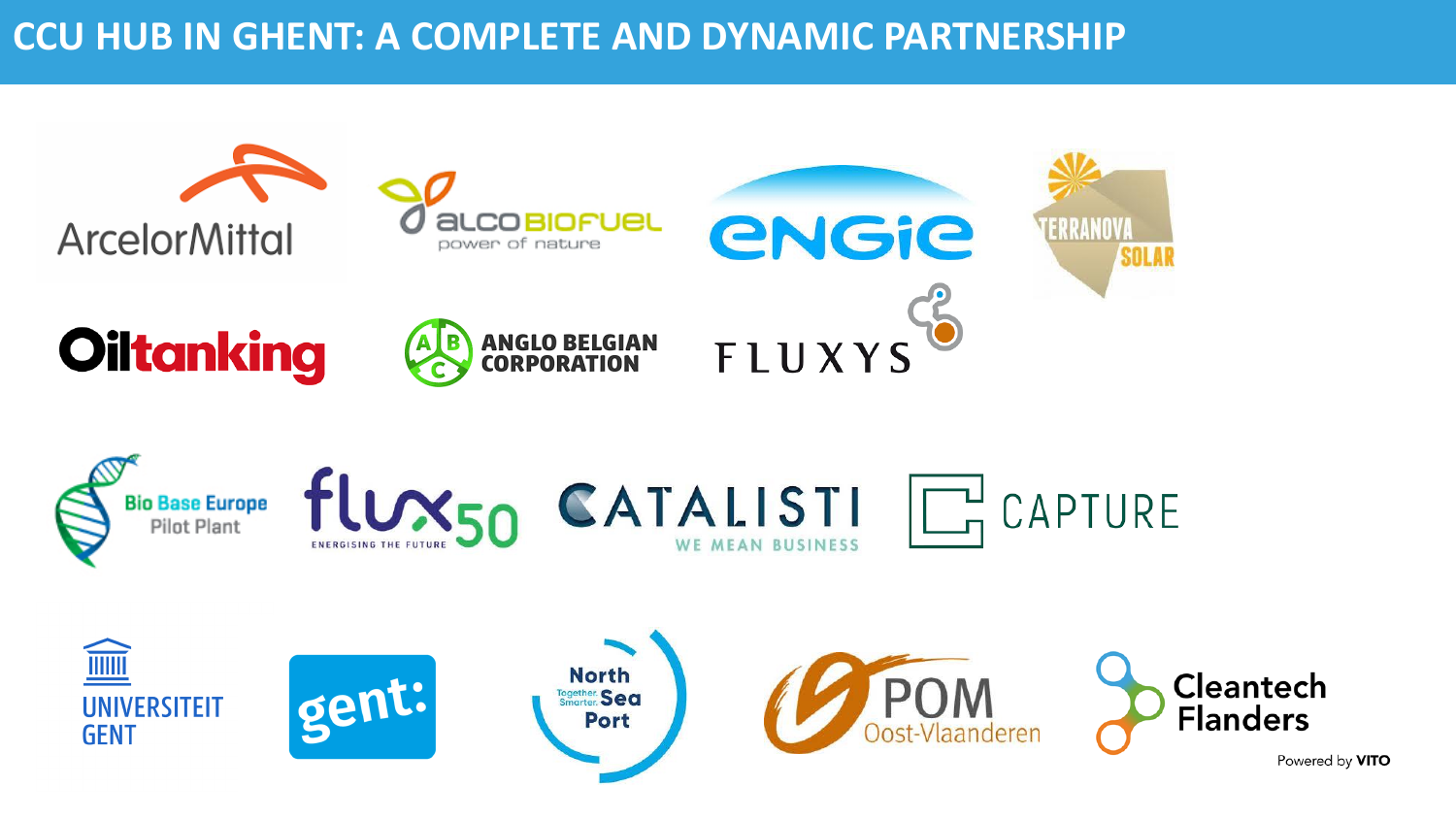

Powered by VITO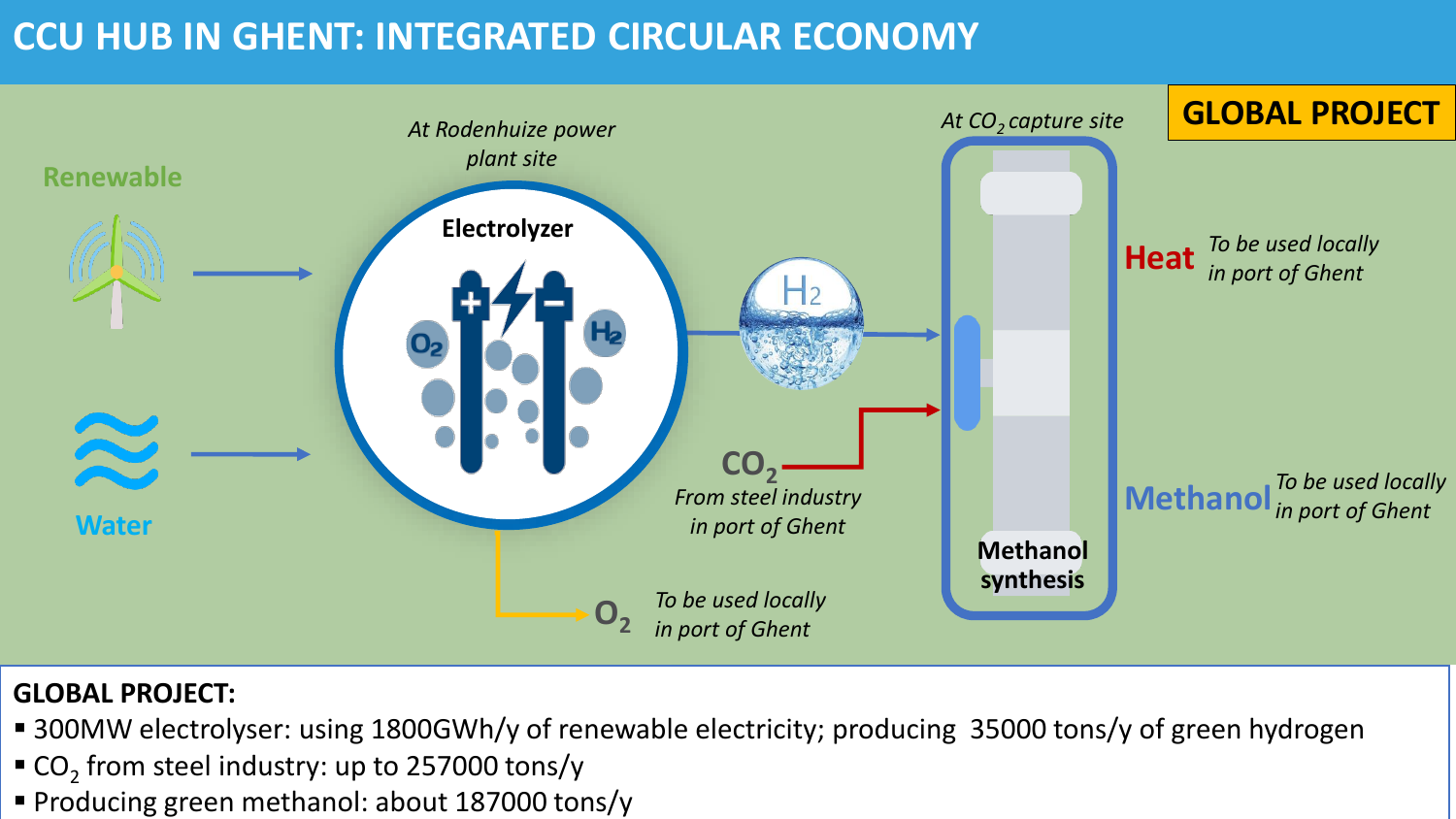# **CCU HUB IN GHENT: INTEGRATED CIRCULAR ECONOMY**



#### **GLOBAL PROJECT:**

- 300MW electrolyser: using 1800GWh/y of renewable electricity; producing 35000 tons/y of green hydrogen
- $\blacksquare$  CO<sub>2</sub> from steel industry: up to 257000 tons/y
- **Producing green methanol: about 187000 tons/y**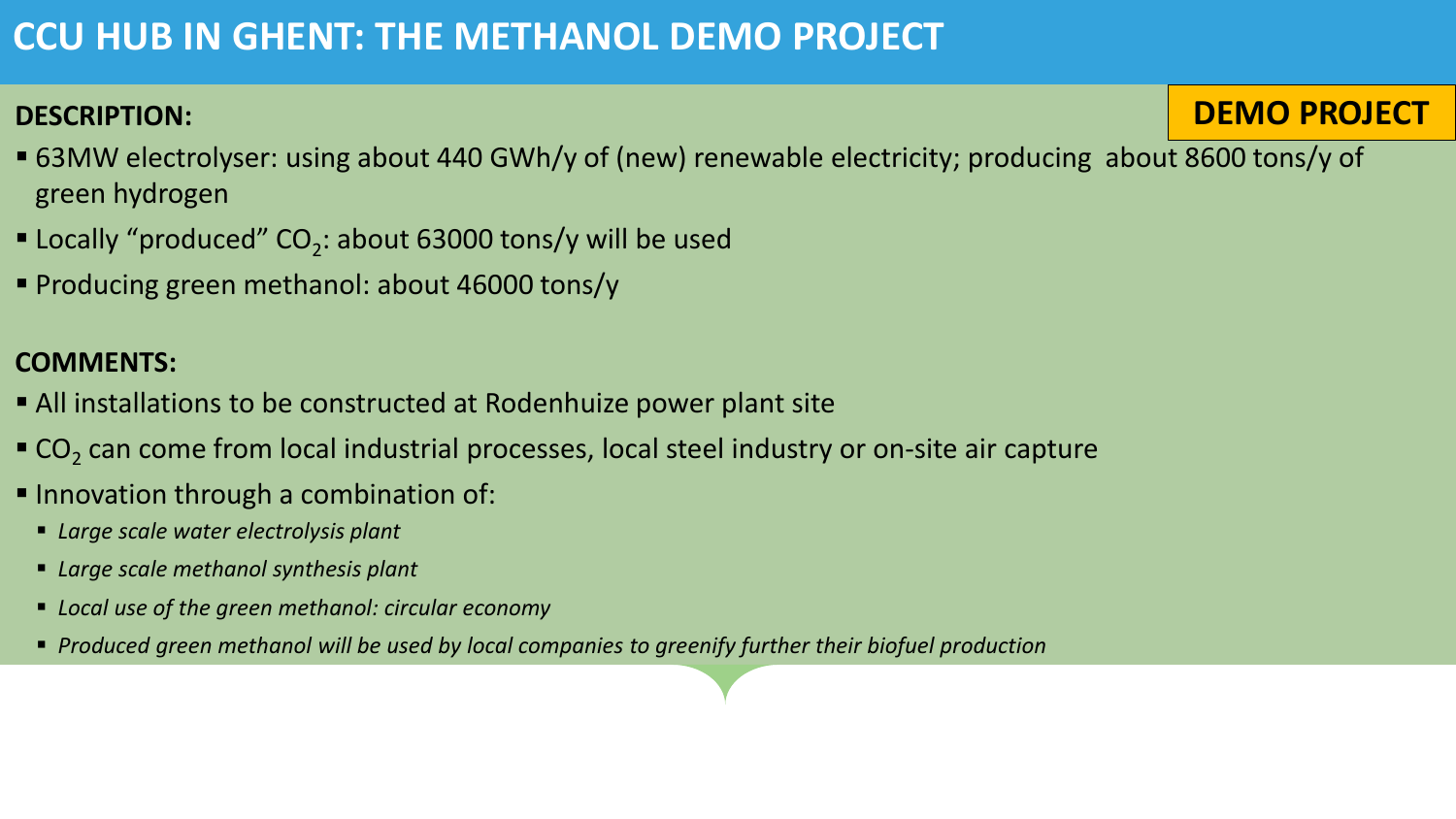## **CCU HUB IN GHENT: THE METHANOL DEMO PROJECT**

#### **DESCRIPTION:**

**DEMO PROJECT**

- 63MW electrolyser: using about 440 GWh/y of (new) renewable electricity; producing about 8600 tons/y of green hydrogen
- $\blacksquare$  Locally "produced" CO<sub>2</sub>: about 63000 tons/y will be used
- Producing green methanol: about 46000 tons/y

#### **COMMENTS:**

- All installations to be constructed at Rodenhuize power plant site
- $\texttt{C}$ O<sub>2</sub> can come from local industrial processes, local steel industry or on-site air capture
- Innovation through a combination of:
	- *Large scale water electrolysis plant*
	- *Large scale methanol synthesis plant*
	- *Local use of the green methanol: circular economy*
	- *Produced green methanol will be used by local companies to greenify further their biofuel production*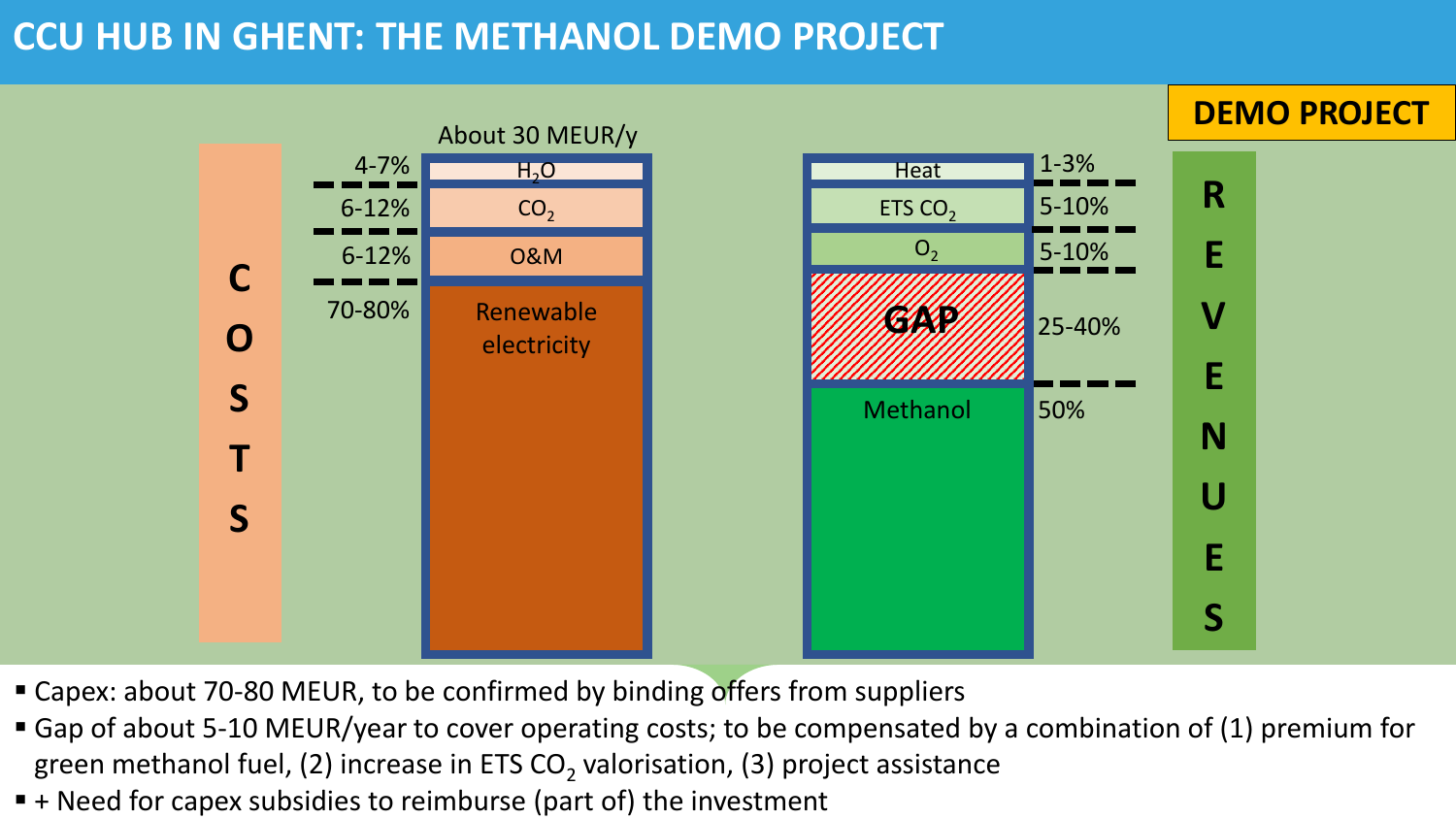### **CCU HUB IN GHENT: THE METHANOL DEMO PROJECT**



- Capex: about 70-80 MEUR, to be confirmed by binding offers from suppliers
- Gap of about 5-10 MEUR/year to cover operating costs; to be compensated by a combination of (1) premium for green methanol fuel, (2) increase in ETS CO<sub>2</sub> valorisation, (3) project assistance
- $\blacksquare$  + Need for capex subsidies to reimburse (part of) the investment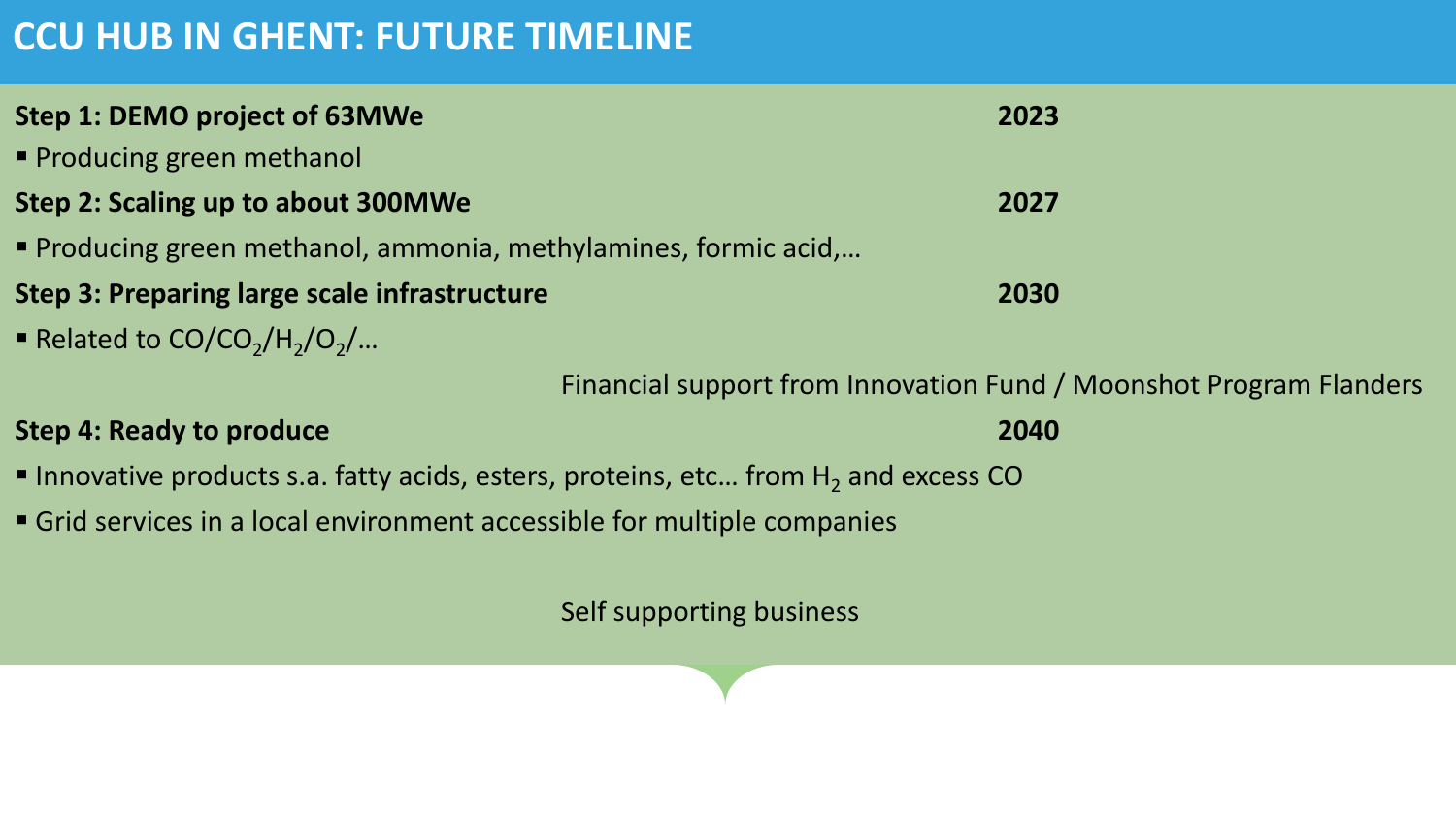# **CCU HUB IN GHENT: FUTURE TIMELINE**

| Step 1: DEMO project of 63MWe                                                        | 2023                                                               |
|--------------------------------------------------------------------------------------|--------------------------------------------------------------------|
| Producing green methanol                                                             |                                                                    |
| Step 2: Scaling up to about 300MWe                                                   | 2027                                                               |
| <b>• Producing green methanol, ammonia, methylamines, formic acid,</b>               |                                                                    |
| <b>Step 3: Preparing large scale infrastructure</b>                                  | 2030                                                               |
| Related to $CO/CO2/H2/O2/$                                                           |                                                                    |
|                                                                                      | Financial support from Innovation Fund / Moonshot Program Flanders |
| <b>Step 4: Ready to produce</b>                                                      | 2040                                                               |
| Innovative products s.a. fatty acids, esters, proteins, etc from $H_2$ and excess CO |                                                                    |
| Grid services in a local environment accessible for multiple companies               |                                                                    |
|                                                                                      |                                                                    |

Self supporting business